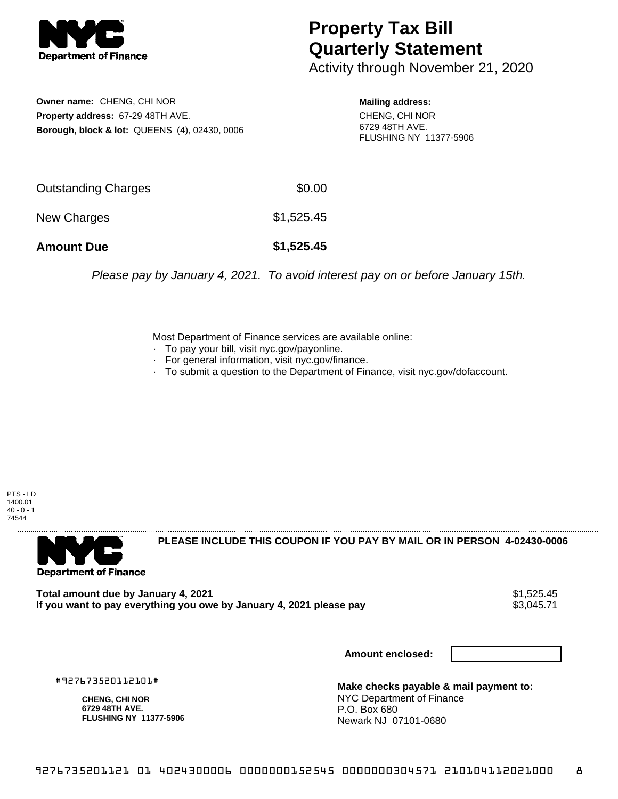

## **Property Tax Bill Quarterly Statement**

Activity through November 21, 2020

**Owner name:** CHENG, CHI NOR **Property address:** 67-29 48TH AVE. **Borough, block & lot:** QUEENS (4), 02430, 0006 **Mailing address:**

CHENG, CHI NOR 6729 48TH AVE. FLUSHING NY 11377-5906

| <b>Amount Due</b>   | \$1,525.45 |
|---------------------|------------|
| New Charges         | \$1,525.45 |
| Outstanding Charges | \$0.00     |

Please pay by January 4, 2021. To avoid interest pay on or before January 15th.

Most Department of Finance services are available online:

- · To pay your bill, visit nyc.gov/payonline.
- For general information, visit nyc.gov/finance.
- · To submit a question to the Department of Finance, visit nyc.gov/dofaccount.

PTS - LD 1400.01  $40 - 0 - 1$ 74544



**PLEASE INCLUDE THIS COUPON IF YOU PAY BY MAIL OR IN PERSON 4-02430-0006** 

**Total amount due by January 4, 2021**<br>If you want to pay everything you owe by January 4, 2021 please pay **show that the summer way of the s**3,045.71 If you want to pay everything you owe by January 4, 2021 please pay

**Amount enclosed:**

#927673520112101#

**CHENG, CHI NOR 6729 48TH AVE. FLUSHING NY 11377-5906**

**Make checks payable & mail payment to:** NYC Department of Finance P.O. Box 680 Newark NJ 07101-0680